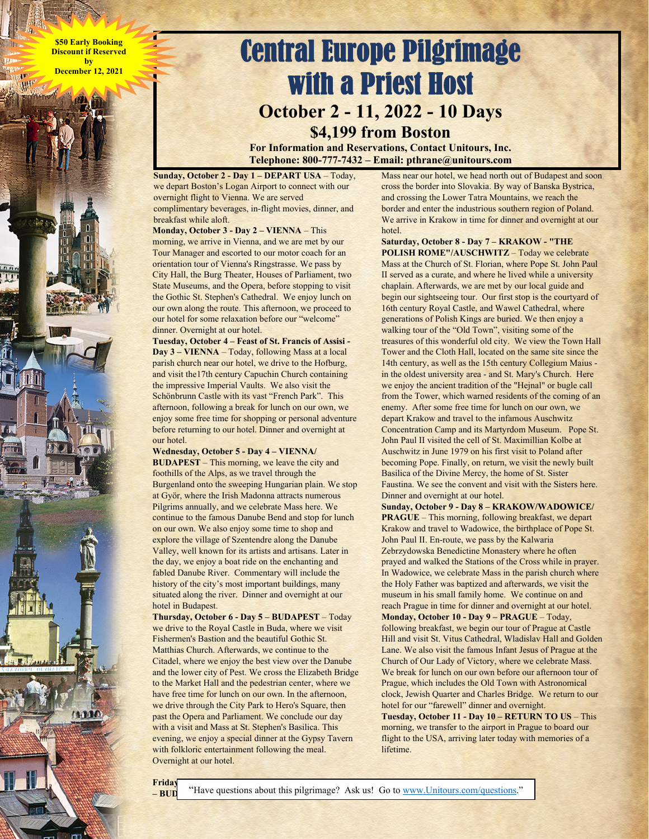**\$50 Early Booking Discount if Reserved by December 12, 2021** 



**For Information and Reservations, Contact Unitours, Inc. Telephone: 800-777-7432 – Email: pthrane@unitours.com** 

**Sunday, October 2 - Day 1 – DEPART USA** – Today, we depart Boston's Logan Airport to connect with our overnight flight to Vienna. We are served complimentary beverages, in-flight movies, dinner, and breakfast while aloft.

**Monday, October 3 - Day 2 – VIENNA** – This morning, we arrive in Vienna, and we are met by our Tour Manager and escorted to our motor coach for an orientation tour of Vienna's Ringstrasse. We pass by City Hall, the Burg Theater, Houses of Parliament, two State Museums, and the Opera, before stopping to visit the Gothic St. Stephen's Cathedral. We enjoy lunch on our own along the route. This afternoon, we proceed to our hotel for some relaxation before our "welcome" dinner. Overnight at our hotel.

**Tuesday, October 4 – Feast of St. Francis of Assisi - Day 3 – VIENNA** – Today, following Mass at a local parish church near our hotel, we drive to the Hofburg, and visit the17th century Capuchin Church containing the impressive Imperial Vaults. We also visit the Schönbrunn Castle with its vast "French Park". This afternoon, following a break for lunch on our own, we enjoy some free time for shopping or personal adventure before returning to our hotel. Dinner and overnight at our hotel.

**Wednesday, October 5 - Day 4 – VIENNA/** 

**BUDAPEST** – This morning, we leave the city and foothills of the Alps, as we travel through the Burgenland onto the sweeping Hungarian plain. We stop at Györ, where the Irish Madonna attracts numerous Pilgrims annually, and we celebrate Mass here. We continue to the famous Danube Bend and stop for lunch on our own. We also enjoy some time to shop and explore the village of Szentendre along the Danube Valley, well known for its artists and artisans. Later in the day, we enjoy a boat ride on the enchanting and fabled Danube River. Commentary will include the history of the city's most important buildings, many situated along the river. Dinner and overnight at our hotel in Budapest.

**Thursday, October 6 - Day 5 – BUDAPEST** – Today we drive to the Royal Castle in Buda, where we visit Fishermen's Bastion and the beautiful Gothic St. Matthias Church. Afterwards, we continue to the Citadel, where we enjoy the best view over the Danube and the lower city of Pest. We cross the Elizabeth Bridge to the Market Hall and the pedestrian center, where we have free time for lunch on our own. In the afternoon, we drive through the City Park to Hero's Square, then past the Opera and Parliament. We conclude our day with a visit and Mass at St. Stephen's Basilica. This evening, we enjoy a special dinner at the Gypsy Tavern with folkloric entertainment following the meal. Overnight at our hotel.

Mass near our hotel, we head north out of Budapest and soon cross the border into Slovakia. By way of Banska Bystrica, and crossing the Lower Tatra Mountains, we reach the border and enter the industrious southern region of Poland. We arrive in Krakow in time for dinner and overnight at our hotel.

**Saturday, October 8 - Day 7 – KRAKOW - "THE POLISH ROME"/AUSCHWITZ** – Today we celebrate Mass at the Church of St. Florian, where Pope St. John Paul II served as a curate, and where he lived while a university chaplain. Afterwards, we are met by our local guide and begin our sightseeing tour. Our first stop is the courtyard of 16th century Royal Castle, and Wawel Cathedral, where generations of Polish Kings are buried. We then enjoy a walking tour of the "Old Town", visiting some of the treasures of this wonderful old city. We view the Town Hall Tower and the Cloth Hall, located on the same site since the 14th century, as well as the 15th century Collegium Maius in the oldest university area - and St. Mary's Church. Here we enjoy the ancient tradition of the "Hejnal" or bugle call from the Tower, which warned residents of the coming of an enemy. After some free time for lunch on our own, we depart Krakow and travel to the infamous Auschwitz Concentration Camp and its Martyrdom Museum. Pope St. John Paul II visited the cell of St. Maximillian Kolbe at Auschwitz in June 1979 on his first visit to Poland after becoming Pope. Finally, on return, we visit the newly built Basilica of the Divine Mercy, the home of St. Sister Faustina. We see the convent and visit with the Sisters here. Dinner and overnight at our hotel.

**Sunday, October 9 - Day 8 – KRAKOW/WADOWICE/ PRAGUE** – This morning, following breakfast, we depart Krakow and travel to Wadowice, the birthplace of Pope St. John Paul II. En-route, we pass by the Kalwaria Zebrzydowska Benedictine Monastery where he often prayed and walked the Stations of the Cross while in prayer. In Wadowice, we celebrate Mass in the parish church where the Holy Father was baptized and afterwards, we visit the museum in his small family home. We continue on and reach Prague in time for dinner and overnight at our hotel.

**Monday, October 10 - Day 9 – PRAGUE** – Today, following breakfast, we begin our tour of Prague at Castle Hill and visit St. Vitus Cathedral, Wladislav Hall and Golden Lane. We also visit the famous Infant Jesus of Prague at the Church of Our Lady of Victory, where we celebrate Mass. We break for lunch on our own before our afternoon tour of Prague, which includes the Old Town with Astronomical clock, Jewish Quarter and Charles Bridge. We return to our hotel for our "farewell" dinner and overnight.

**Tuesday, October 11 - Day 10 – RETURN TO US** – This morning, we transfer to the airport in Prague to board our flight to the USA, arriving later today with memories of a lifetime.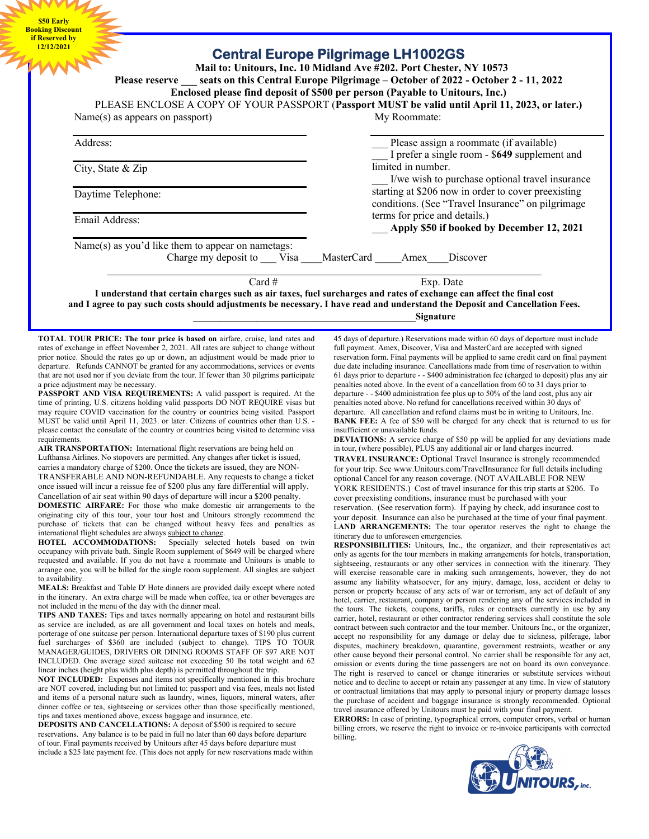**\$50 Early Booking Discount if Reserved by** 

## **12/12/2021 Central Europe Pilgrimage LH1002GS**

 **Mail to: Unitours, Inc. 10 Midland Ave #202. Port Chester, NY 10573 Please reserve \_\_\_ seats on this Central Europe Pilgrimage – October of 2022 - October 2 - 11, 2022** 

**Enclosed please find deposit of \$500 per person (Payable to Unitours, Inc.)** 

PLEASE ENCLOSE A COPY OF YOUR PASSPORT (**Passport MUST be valid until April 11, 2023, or later.)** Name(s) as appears on passport) My Roommate:

| Address:                                                                       | Please assign a roommate (if available)<br>I prefer a single room - \$649 supplement and                 |
|--------------------------------------------------------------------------------|----------------------------------------------------------------------------------------------------------|
| City, State $&$ Zip                                                            | limited in number.<br>I/we wish to purchase optional travel insurance                                    |
| Daytime Telephone:                                                             | starting at \$206 now in order to cover preexisting<br>conditions. (See "Travel Insurance" on pilgrimage |
| Email Address:                                                                 | terms for price and details.)<br>Apply \$50 if booked by December 12, 2021                               |
| Name(s) as you'd like them to appear on nametags:<br>Charge my deposit to Visa | <b>MasterCard</b><br>Discover<br>Amex                                                                    |
| $Card \#$                                                                      | Exp. Date                                                                                                |

**I understand that certain charges such as air taxes, fuel surcharges and rates of exchange can affect the final cost and I agree to pay such costs should adjustments be necessary. I have read and understand the Deposit and Cancellation Fees.** \_\_\_\_\_\_\_\_\_\_\_\_\_\_\_\_\_\_\_\_\_\_\_\_\_\_\_\_\_\_\_\_\_\_\_\_\_\_\_\_\_\_**Signature**

**TOTAL TOUR PRICE: The tour price is based on** airfare, cruise, land rates and rates of exchange in effect November 2, 2021. All rates are subject to change without prior notice. Should the rates go up or down, an adjustment would be made prior to departure. Refunds CANNOT be granted for any accommodations, services or events that are not used nor if you deviate from the tour. If fewer than 30 pilgrims participate a price adjustment may be necessary.

**PASSPORT AND VISA REQUIREMENTS:** A valid passport is required. At the time of printing, U.S. citizens holding valid passports DO NOT REQUIRE visas but may require COVID vaccination for the country or countries being visited. Passport MUST be valid until April 11, 2023. or later. Citizens of countries other than U.S. please contact the consulate of the country or countries being visited to determine visa requirements.

**AIR TRANSPORTATION:** International flight reservations are being held on Lufthansa Airlines. No stopovers are permitted. Any changes after ticket is issued, carries a mandatory charge of \$200. Once the tickets are issued, they are NON-TRANSFERABLE AND NON-REFUNDABLE. Any requests to change a ticket once issued will incur a reissue fee of \$200 plus any fare differential will apply. Cancellation of air seat within 90 days of departure will incur a \$200 penalty.

**DOMESTIC AIRFARE:** For those who make domestic air arrangements to the originating city of this tour, your tour host and Unitours strongly recommend the purchase of tickets that can be changed without heavy fees and penalties as international flight schedules are always subject to change.<br>HOTEL ACCOMMODATIONS: Specially selecte

Specially selected hotels based on twin occupancy with private bath. Single Room supplement of \$649 will be charged where requested and available. If you do not have a roommate and Unitours is unable to arrange one, you will be billed for the single room supplement. All singles are subject to availability.

**MEALS:** Breakfast and Table D' Hote dinners are provided daily except where noted in the itinerary. An extra charge will be made when coffee, tea or other beverages are not included in the menu of the day with the dinner meal.

**TIPS AND TAXES:** Tips and taxes normally appearing on hotel and restaurant bills as service are included, as are all government and local taxes on hotels and meals, porterage of one suitcase per person. International departure taxes of \$190 plus current fuel surcharges of \$360 are included (subject to change). TIPS TO TOUR MANAGER/GUIDES, DRIVERS OR DINING ROOMS STAFF OF \$97 ARE NOT INCLUDED. One average sized suitcase not exceeding 50 lbs total weight and 62 linear inches (height plus width plus depth) is permitted throughout the trip.

**NOT INCLUDED:** Expenses and items not specifically mentioned in this brochure are NOT covered, including but not limited to: passport and visa fees, meals not listed and items of a personal nature such as laundry, wines, liquors, mineral waters, after dinner coffee or tea, sightseeing or services other than those specifically mentioned, tips and taxes mentioned above, excess baggage and insurance, etc.

**DEPOSITS AND CANCELLATIONS:** A deposit of \$500 is required to secure reservations. Any balance is to be paid in full no later than 60 days before departure of tour. Final payments received **by** Unitours after 45 days before departure must include a \$25 late payment fee. (This does not apply for new reservations made within 45 days of departure.) Reservations made within 60 days of departure must include full payment. Amex, Discover, Visa and MasterCard are accepted with signed reservation form. Final payments will be applied to same credit card on final payment due date including insurance. Cancellations made from time of reservation to within 61 days prior to departure - - \$400 administration fee (charged to deposit) plus any air penalties noted above. In the event of a cancellation from 60 to 31 days prior to departure - - \$400 administration fee plus up to 50% of the land cost, plus any air penalties noted above. No refund for cancellations received within 30 days of departure. All cancellation and refund claims must be in writing to Unitours, Inc. **BANK FEE:** A fee of \$50 will be charged for any check that is returned to us for insufficient or unavailable funds.

**DEVIATIONS:** A service charge of \$50 pp will be applied for any deviations made in tour, (where possible), PLUS any additional air or land charges incurred.

**TRAVEL INSURANCE:** Optional Travel Insurance is strongly recommended for your trip. See www.Unitours.com/TravelInsurance for full details including optional Cancel for any reason coverage. (NOT AVAILABLE FOR NEW YORK RESIDENTS.) Cost of travel insurance for this trip starts at \$206. To cover preexisting conditions, insurance must be purchased with your

reservation. (See reservation form). If paying by check, add insurance cost to your deposit. Insurance can also be purchased at the time of your final payment. L**AND ARRANGEMENTS:** The tour operator reserves the right to change the itinerary due to unforeseen emergencies.

**RESPONSIBILITIES:** Unitours, Inc., the organizer, and their representatives act only as agents for the tour members in making arrangements for hotels, transportation, sightseeing, restaurants or any other services in connection with the itinerary. They will exercise reasonable care in making such arrangements, however, they do not assume any liability whatsoever, for any injury, damage, loss, accident or delay to person or property because of any acts of war or terrorism, any act of default of any hotel, carrier, restaurant, company or person rendering any of the services included in the tours. The tickets, coupons, tariffs, rules or contracts currently in use by any carrier, hotel, restaurant or other contractor rendering services shall constitute the sole contract between such contractor and the tour member. Unitours Inc., or the organizer, accept no responsibility for any damage or delay due to sickness, pilferage, labor disputes, machinery breakdown, quarantine, government restraints, weather or any other cause beyond their personal control. No carrier shall be responsible for any act, omission or events during the time passengers are not on board its own conveyance. The right is reserved to cancel or change itineraries or substitute services without notice and to decline to accept or retain any passenger at any time. In view of statutory or contractual limitations that may apply to personal injury or property damage losses the purchase of accident and baggage insurance is strongly recommended. Optional travel insurance offered by Unitours must be paid with your final payment.

**ERRORS:** In case of printing, typographical errors, computer errors, verbal or human billing errors, we reserve the right to invoice or re-invoice participants with corrected billing.